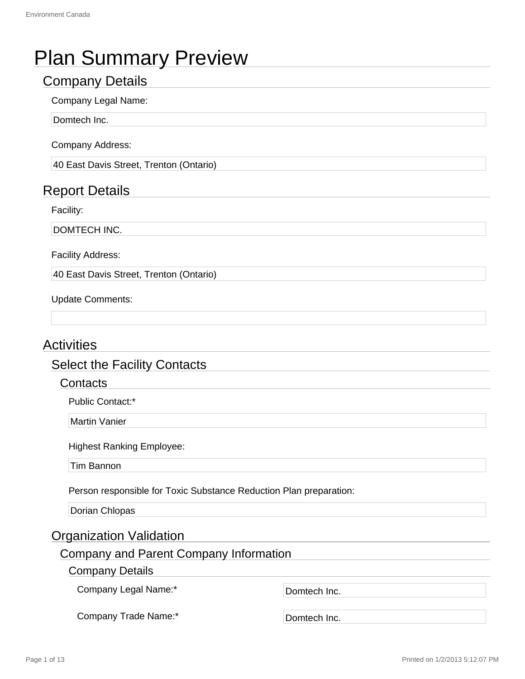# Plan Summary Preview

## Company Details

## Company Legal Name:

Domtech Inc.

Company Address:

40 East Davis Street, Trenton (Ontario)

## Report Details

Facility:

DOMTECH INC.

Facility Address:

40 East Davis Street, Trenton (Ontario)

Update Comments:

## **Activities**

## Select the Facility Contacts

## **Contacts**

Public Contact:\*

Martin Vanier

Highest Ranking Employee:

Tim Bannon

Person responsible for Toxic Substance Reduction Plan preparation:

Dorian Chlopas

## Organization Validation

## Company and Parent Company Information

Company Details

Company Legal Name:\* Domtech Inc.

Company Trade Name:\* Domtech Inc.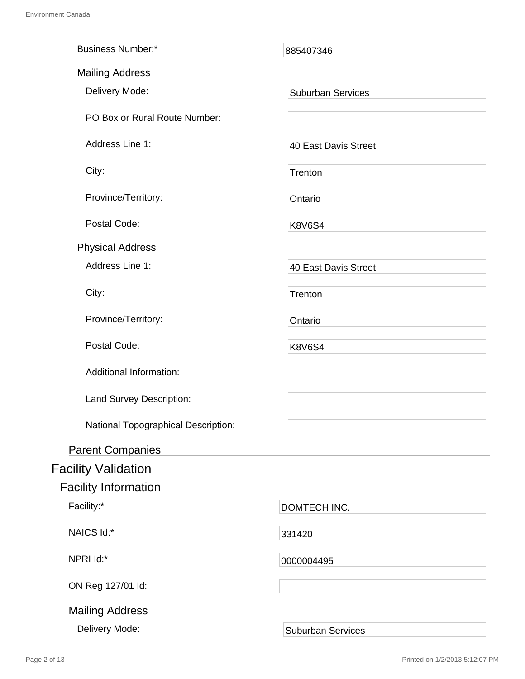| <b>Business Number:*</b>            | 885407346                   |  |
|-------------------------------------|-----------------------------|--|
| <b>Mailing Address</b>              |                             |  |
| Delivery Mode:                      | <b>Suburban Services</b>    |  |
| PO Box or Rural Route Number:       |                             |  |
| Address Line 1:                     | 40 East Davis Street        |  |
| City:                               | Trenton                     |  |
| Province/Territory:                 | Ontario                     |  |
| Postal Code:                        | <b>K8V6S4</b>               |  |
| <b>Physical Address</b>             |                             |  |
| Address Line 1:                     | <b>40 East Davis Street</b> |  |
| City:                               | Trenton                     |  |
| Province/Territory:                 | Ontario                     |  |
| Postal Code:                        | <b>K8V6S4</b>               |  |
| <b>Additional Information:</b>      |                             |  |
| Land Survey Description:            |                             |  |
| National Topographical Description: |                             |  |
| <b>Parent Companies</b>             |                             |  |
| <b>Facility Validation</b>          |                             |  |
| <b>Facility Information</b>         |                             |  |
| Facility:*                          | DOMTECH INC.                |  |
| NAICS Id:*                          | 331420                      |  |
| NPRI Id:*                           | 0000004495                  |  |
| ON Reg 127/01 ld:                   |                             |  |
| <b>Mailing Address</b>              |                             |  |
| Delivery Mode:                      | <b>Suburban Services</b>    |  |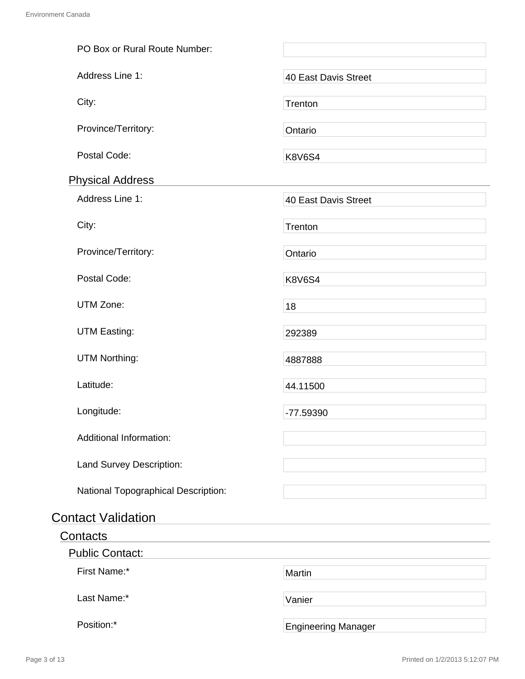| PO Box or Rural Route Number:       |                            |
|-------------------------------------|----------------------------|
| Address Line 1:                     | 40 East Davis Street       |
| City:                               | Trenton                    |
| Province/Territory:                 | Ontario                    |
| Postal Code:                        | <b>K8V6S4</b>              |
| <b>Physical Address</b>             |                            |
| Address Line 1:                     | 40 East Davis Street       |
| City:                               | Trenton                    |
| Province/Territory:                 | Ontario                    |
| Postal Code:                        | <b>K8V6S4</b>              |
| UTM Zone:                           | 18                         |
| <b>UTM Easting:</b>                 | 292389                     |
| <b>UTM Northing:</b>                | 4887888                    |
| Latitude:                           | 44.11500                   |
| Longitude:                          | -77.59390                  |
| <b>Additional Information:</b>      |                            |
| Land Survey Description:            |                            |
| National Topographical Description: |                            |
| <b>Contact Validation</b>           |                            |
| Contacts                            |                            |
| <b>Public Contact:</b>              |                            |
| First Name:*                        | Martin                     |
| Last Name:*                         | Vanier                     |
| Position:*                          | <b>Engineering Manager</b> |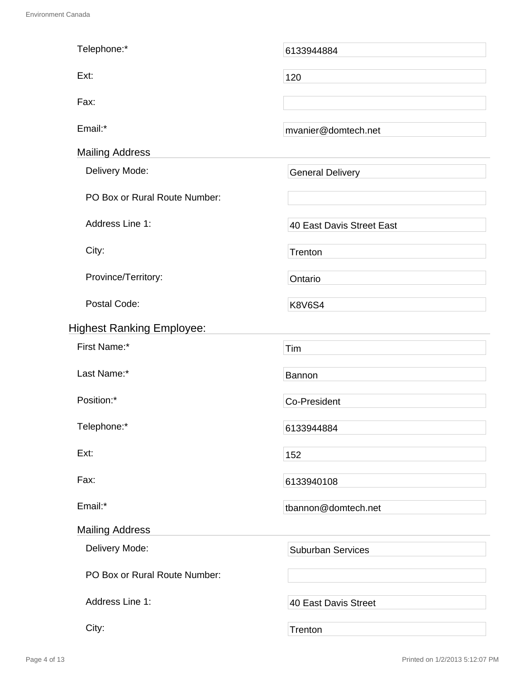| Telephone:*                      | 6133944884                |  |  |
|----------------------------------|---------------------------|--|--|
| Ext:                             | 120                       |  |  |
| Fax:                             |                           |  |  |
| Email:*                          | mvanier@domtech.net       |  |  |
| <b>Mailing Address</b>           |                           |  |  |
|                                  |                           |  |  |
| Delivery Mode:                   | <b>General Delivery</b>   |  |  |
| PO Box or Rural Route Number:    |                           |  |  |
| Address Line 1:                  | 40 East Davis Street East |  |  |
| City:                            | Trenton                   |  |  |
| Province/Territory:              | Ontario                   |  |  |
| Postal Code:                     | <b>K8V6S4</b>             |  |  |
| <b>Highest Ranking Employee:</b> |                           |  |  |
| First Name:*                     | Tim                       |  |  |
| Last Name:*                      | <b>Bannon</b>             |  |  |
| Position:*                       | <b>Co-President</b>       |  |  |
| Telephone:*                      | 6133944884                |  |  |
| Ext:                             | 152                       |  |  |
| Fax:                             | 6133940108                |  |  |
| Email:*                          | tbannon@domtech.net       |  |  |
| <b>Mailing Address</b>           |                           |  |  |
| Delivery Mode:                   | <b>Suburban Services</b>  |  |  |
| PO Box or Rural Route Number:    |                           |  |  |
| Address Line 1:                  | 40 East Davis Street      |  |  |
| City:                            | Trenton                   |  |  |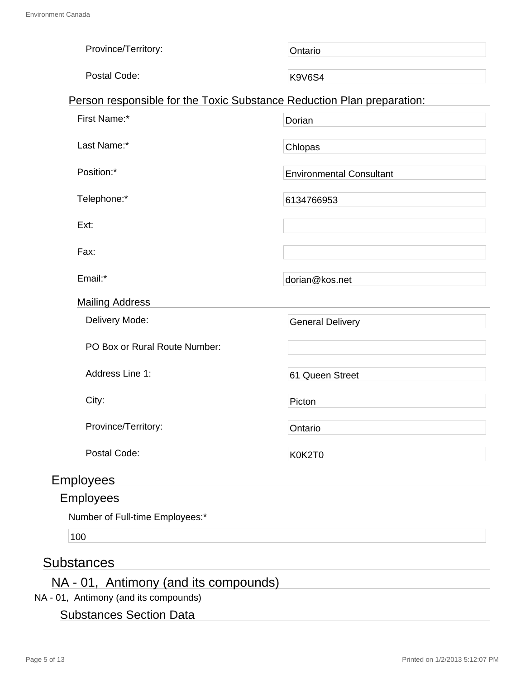| Province/Territory:                                                    | Ontario                         |
|------------------------------------------------------------------------|---------------------------------|
| Postal Code:                                                           | <b>K9V6S4</b>                   |
| Person responsible for the Toxic Substance Reduction Plan preparation: |                                 |
| First Name:*                                                           | Dorian                          |
| Last Name:*                                                            | Chlopas                         |
| Position:*                                                             | <b>Environmental Consultant</b> |
| Telephone:*                                                            | 6134766953                      |
| Ext:                                                                   |                                 |
| Fax:                                                                   |                                 |
| Email:*                                                                | dorian@kos.net                  |
| <b>Mailing Address</b>                                                 |                                 |
| Delivery Mode:                                                         | <b>General Delivery</b>         |
| PO Box or Rural Route Number:                                          |                                 |
| Address Line 1:                                                        | 61 Queen Street                 |
| City:                                                                  | Picton                          |
| Province/Territory:                                                    | Ontario                         |
| Postal Code:                                                           | K0K2T0                          |
| <b>Employees</b>                                                       |                                 |
| <b>Employees</b>                                                       |                                 |
|                                                                        |                                 |

Number of Full-time Employees:\*

100

## **Substances**

## NA - 01, Antimony (and its compounds)

NA - 01, Antimony (and its compounds)

## Substances Section Data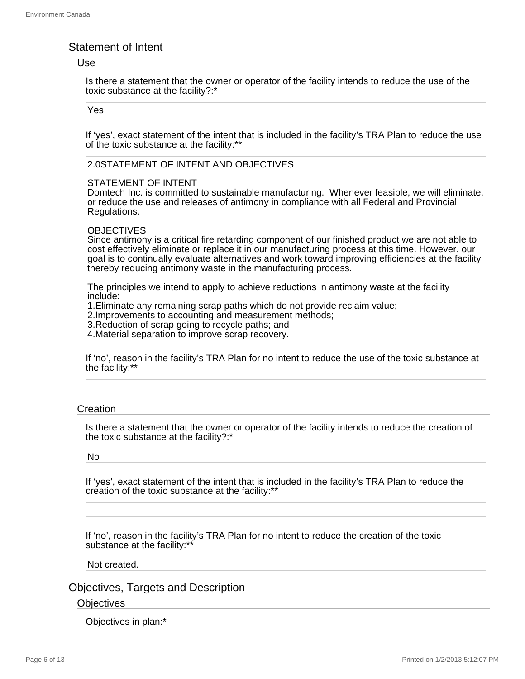## Statement of Intent

#### Use

Is there a statement that the owner or operator of the facility intends to reduce the use of the toxic substance at the facility?:\*

Yes

If 'yes', exact statement of the intent that is included in the facility's TRA Plan to reduce the use of the toxic substance at the facility:\*\*

#### 2.0STATEMENT OF INTENT AND OBJECTIVES

#### STATEMENT OF INTENT

Domtech Inc. is committed to sustainable manufacturing. Whenever feasible, we will eliminate, or reduce the use and releases of antimony in compliance with all Federal and Provincial Regulations.

#### **OBJECTIVES**

Since antimony is a critical fire retarding component of our finished product we are not able to cost effectively eliminate or replace it in our manufacturing process at this time. However, our goal is to continually evaluate alternatives and work toward improving efficiencies at the facility thereby reducing antimony waste in the manufacturing process.

The principles we intend to apply to achieve reductions in antimony waste at the facility include:

1.Eliminate any remaining scrap paths which do not provide reclaim value;

2.Improvements to accounting and measurement methods;

3.Reduction of scrap going to recycle paths; and

4.Material separation to improve scrap recovery.

If 'no', reason in the facility's TRA Plan for no intent to reduce the use of the toxic substance at the facility:\*\*

## **Creation**

Is there a statement that the owner or operator of the facility intends to reduce the creation of the toxic substance at the facility?:\*

#### No

If 'yes', exact statement of the intent that is included in the facility's TRA Plan to reduce the creation of the toxic substance at the facility:\*\*

If 'no', reason in the facility's TRA Plan for no intent to reduce the creation of the toxic substance at the facility:\*\*

#### Not created.

## Objectives, Targets and Description

#### **Objectives**

Objectives in plan:\*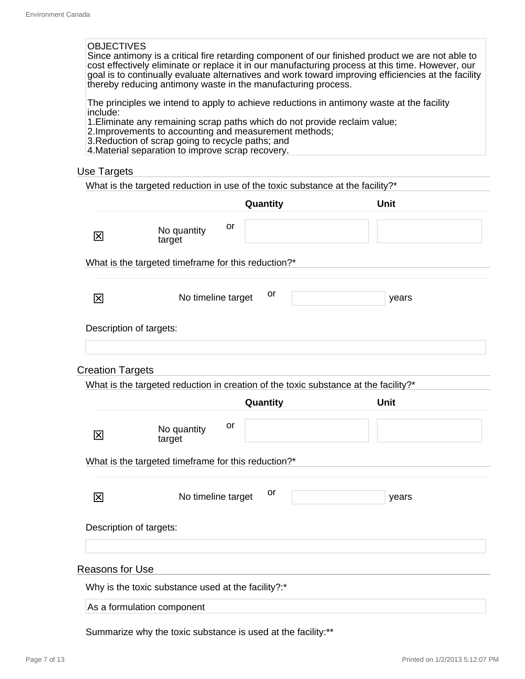#### **OBJECTIVES**

Since antimony is a critical fire retarding component of our finished product we are not able to cost effectively eliminate or replace it in our manufacturing process at this time. However, our goal is to continually evaluate alternatives and work toward improving efficiencies at the facility thereby reducing antimony waste in the manufacturing process.

The principles we intend to apply to achieve reductions in antimony waste at the facility include:

1.Eliminate any remaining scrap paths which do not provide reclaim value;

- 2.Improvements to accounting and measurement methods;
- 3.Reduction of scrap going to recycle paths; and

4.Material separation to improve scrap recovery.

### Use Targets

|                         |                                                     | Quantity                                                                            | <b>Unit</b> |
|-------------------------|-----------------------------------------------------|-------------------------------------------------------------------------------------|-------------|
| $\boxtimes$             | No quantity<br>target                               | or                                                                                  |             |
|                         | What is the targeted timeframe for this reduction?* |                                                                                     |             |
| 区                       | No timeline target                                  | or                                                                                  | years       |
|                         | Description of targets:                             |                                                                                     |             |
| <b>Creation Targets</b> |                                                     |                                                                                     |             |
|                         |                                                     | What is the targeted reduction in creation of the toxic substance at the facility?* |             |
|                         |                                                     | Quantity                                                                            | Unit        |
| 冈                       | No quantity<br>target                               | or                                                                                  |             |
|                         | What is the targeted timeframe for this reduction?* |                                                                                     |             |
| 区                       | No timeline target                                  | or                                                                                  | years       |
|                         | Description of targets:                             |                                                                                     |             |
| <b>Reasons for Use</b>  |                                                     |                                                                                     |             |
|                         | Why is the toxic substance used at the facility?:*  |                                                                                     |             |
|                         |                                                     |                                                                                     |             |

Summarize why the toxic substance is used at the facility:\*\*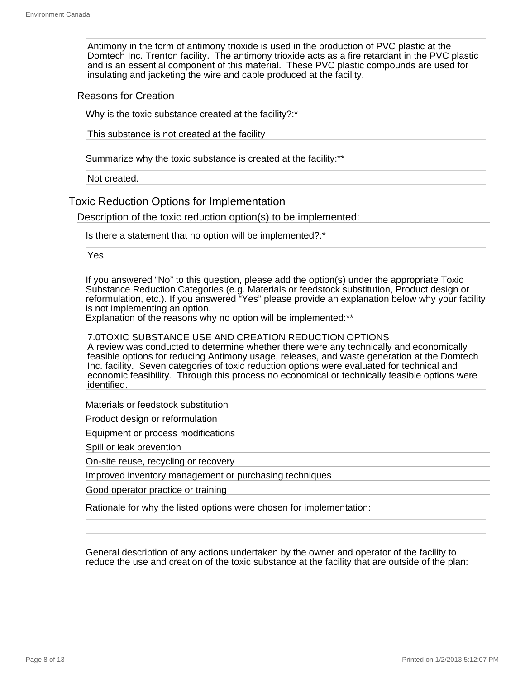Antimony in the form of antimony trioxide is used in the production of PVC plastic at the Domtech Inc. Trenton facility. The antimony trioxide acts as a fire retardant in the PVC plastic and is an essential component of this material. These PVC plastic compounds are used for insulating and jacketing the wire and cable produced at the facility.

#### Reasons for Creation

Why is the toxic substance created at the facility?:\*

This substance is not created at the facility

Summarize why the toxic substance is created at the facility:\*\*

Not created.

Toxic Reduction Options for Implementation

Description of the toxic reduction option(s) to be implemented:

Is there a statement that no option will be implemented?:\*

Yes

If you answered "No" to this question, please add the option(s) under the appropriate Toxic Substance Reduction Categories (e.g. Materials or feedstock substitution, Product design or reformulation, etc.). If you answered "Yes" please provide an explanation below why your facility is not implementing an option.

Explanation of the reasons why no option will be implemented:\*\*

7.0TOXIC SUBSTANCE USE AND CREATION REDUCTION OPTIONS A review was conducted to determine whether there were any technically and economically feasible options for reducing Antimony usage, releases, and waste generation at the Domtech Inc. facility. Seven categories of toxic reduction options were evaluated for technical and economic feasibility. Through this process no economical or technically feasible options were identified.

Materials or feedstock substitution

Product design or reformulation

Equipment or process modifications

Spill or leak prevention

On-site reuse, recycling or recovery

Improved inventory management or purchasing techniques

Good operator practice or training

Rationale for why the listed options were chosen for implementation:

General description of any actions undertaken by the owner and operator of the facility to reduce the use and creation of the toxic substance at the facility that are outside of the plan: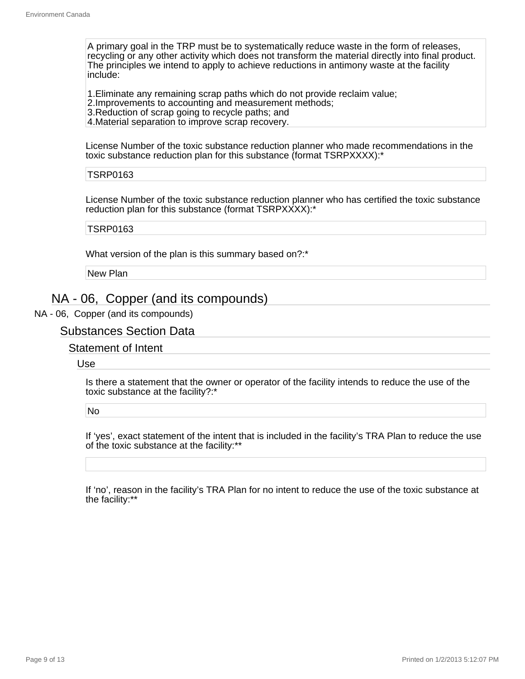A primary goal in the TRP must be to systematically reduce waste in the form of releases, recycling or any other activity which does not transform the material directly into final product. The principles we intend to apply to achieve reductions in antimony waste at the facility include:

1.Eliminate any remaining scrap paths which do not provide reclaim value;

2.Improvements to accounting and measurement methods;

3.Reduction of scrap going to recycle paths; and

4.Material separation to improve scrap recovery.

License Number of the toxic substance reduction planner who made recommendations in the toxic substance reduction plan for this substance (format TSRPXXXX):\*

#### TSRP0163

License Number of the toxic substance reduction planner who has certified the toxic substance reduction plan for this substance (format TSRPXXXX):\*

#### TSRP0163

What version of the plan is this summary based on?:\*

New Plan

## NA - 06, Copper (and its compounds)

NA - 06, Copper (and its compounds)

## Substances Section Data

Statement of Intent

Use

Is there a statement that the owner or operator of the facility intends to reduce the use of the toxic substance at the facility?:\*

No

If 'yes', exact statement of the intent that is included in the facility's TRA Plan to reduce the use of the toxic substance at the facility:\*\*

If 'no', reason in the facility's TRA Plan for no intent to reduce the use of the toxic substance at the facility:\*\*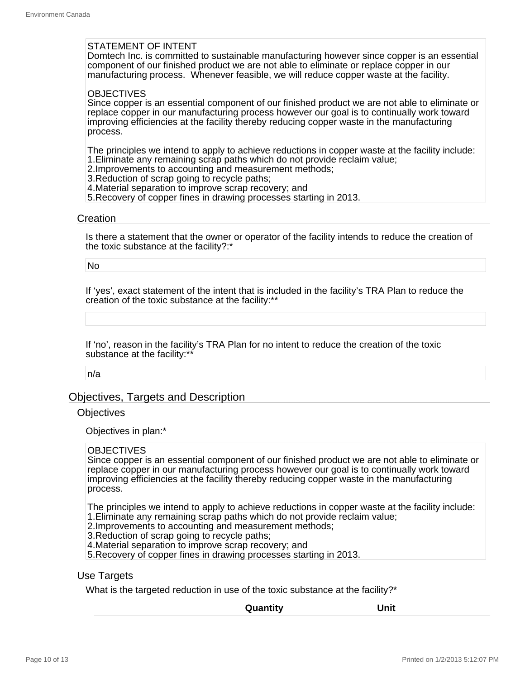#### STATEMENT OF INTENT

Domtech Inc. is committed to sustainable manufacturing however since copper is an essential component of our finished product we are not able to eliminate or replace copper in our manufacturing process. Whenever feasible, we will reduce copper waste at the facility.

#### **OBJECTIVES**

Since copper is an essential component of our finished product we are not able to eliminate or replace copper in our manufacturing process however our goal is to continually work toward improving efficiencies at the facility thereby reducing copper waste in the manufacturing process.

The principles we intend to apply to achieve reductions in copper waste at the facility include: 1.Eliminate any remaining scrap paths which do not provide reclaim value;

- 2.Improvements to accounting and measurement methods;
- 3.Reduction of scrap going to recycle paths;
- 4.Material separation to improve scrap recovery; and
- 5.Recovery of copper fines in drawing processes starting in 2013.

#### **Creation**

Is there a statement that the owner or operator of the facility intends to reduce the creation of the toxic substance at the facility?:\*

No

If 'yes', exact statement of the intent that is included in the facility's TRA Plan to reduce the creation of the toxic substance at the facility:\*\*

If 'no', reason in the facility's TRA Plan for no intent to reduce the creation of the toxic substance at the facility:\*\*

n/a

## Objectives, Targets and Description

#### **Objectives**

Objectives in plan:\*

#### **OBJECTIVES**

Since copper is an essential component of our finished product we are not able to eliminate or replace copper in our manufacturing process however our goal is to continually work toward improving efficiencies at the facility thereby reducing copper waste in the manufacturing process.

The principles we intend to apply to achieve reductions in copper waste at the facility include: 1.Eliminate any remaining scrap paths which do not provide reclaim value;

- 2.Improvements to accounting and measurement methods;
- 3.Reduction of scrap going to recycle paths;
- 4.Material separation to improve scrap recovery; and

5.Recovery of copper fines in drawing processes starting in 2013.

#### Use Targets

What is the targeted reduction in use of the toxic substance at the facility?<sup>\*</sup>

**Quantity Unit**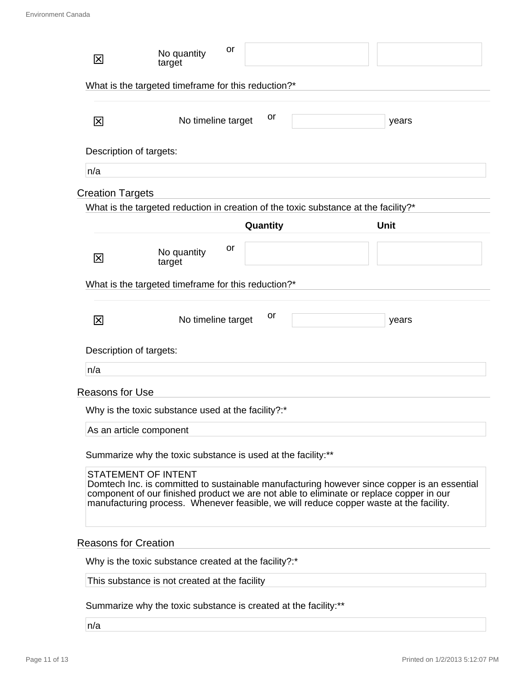| 冈                                                                                                                                                                                                                                                                                                              | or<br>No quantity<br>target                                                         |          |  |             |
|----------------------------------------------------------------------------------------------------------------------------------------------------------------------------------------------------------------------------------------------------------------------------------------------------------------|-------------------------------------------------------------------------------------|----------|--|-------------|
|                                                                                                                                                                                                                                                                                                                | What is the targeted timeframe for this reduction?*                                 |          |  |             |
| 区                                                                                                                                                                                                                                                                                                              | No timeline target                                                                  | or       |  | years       |
| Description of targets:                                                                                                                                                                                                                                                                                        |                                                                                     |          |  |             |
| n/a                                                                                                                                                                                                                                                                                                            |                                                                                     |          |  |             |
| <b>Creation Targets</b>                                                                                                                                                                                                                                                                                        |                                                                                     |          |  |             |
|                                                                                                                                                                                                                                                                                                                | What is the targeted reduction in creation of the toxic substance at the facility?* |          |  |             |
|                                                                                                                                                                                                                                                                                                                |                                                                                     | Quantity |  | <b>Unit</b> |
| 区                                                                                                                                                                                                                                                                                                              | or<br>No quantity<br>target                                                         |          |  |             |
|                                                                                                                                                                                                                                                                                                                | What is the targeted timeframe for this reduction?*                                 |          |  |             |
| 冈                                                                                                                                                                                                                                                                                                              | No timeline target                                                                  | or       |  | years       |
| Description of targets:                                                                                                                                                                                                                                                                                        |                                                                                     |          |  |             |
| n/a                                                                                                                                                                                                                                                                                                            |                                                                                     |          |  |             |
| <b>Reasons for Use</b>                                                                                                                                                                                                                                                                                         |                                                                                     |          |  |             |
|                                                                                                                                                                                                                                                                                                                | Why is the toxic substance used at the facility?:*                                  |          |  |             |
|                                                                                                                                                                                                                                                                                                                | As an article component                                                             |          |  |             |
| Summarize why the toxic substance is used at the facility:**                                                                                                                                                                                                                                                   |                                                                                     |          |  |             |
| <b>STATEMENT OF INTENT</b><br>Domtech Inc. is committed to sustainable manufacturing however since copper is an essential<br>component of our finished product we are not able to eliminate or replace copper in our<br>manufacturing process. Whenever feasible, we will reduce copper waste at the facility. |                                                                                     |          |  |             |
| <b>Reasons for Creation</b>                                                                                                                                                                                                                                                                                    |                                                                                     |          |  |             |
|                                                                                                                                                                                                                                                                                                                | Why is the toxic substance created at the facility?:*                               |          |  |             |
| This substance is not created at the facility                                                                                                                                                                                                                                                                  |                                                                                     |          |  |             |
| Summarize why the toxic substance is created at the facility:**                                                                                                                                                                                                                                                |                                                                                     |          |  |             |

n/a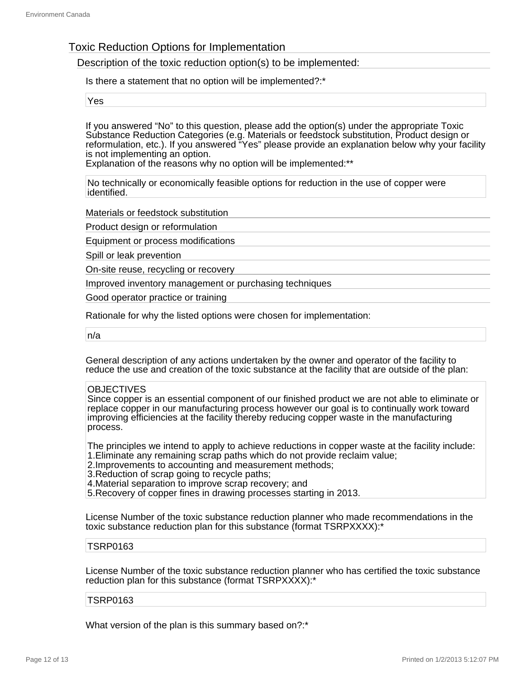## Toxic Reduction Options for Implementation

Description of the toxic reduction option(s) to be implemented:

Is there a statement that no option will be implemented?:\*

Yes

If you answered "No" to this question, please add the option(s) under the appropriate Toxic Substance Reduction Categories (e.g. Materials or feedstock substitution, Product design or reformulation, etc.). If you answered "Yes" please provide an explanation below why your facility is not implementing an option.

Explanation of the reasons why no option will be implemented:\*\*

No technically or economically feasible options for reduction in the use of copper were identified.

Materials or feedstock substitution

Product design or reformulation

Equipment or process modifications

Spill or leak prevention

On-site reuse, recycling or recovery

Improved inventory management or purchasing techniques

Good operator practice or training

Rationale for why the listed options were chosen for implementation:

n/a

General description of any actions undertaken by the owner and operator of the facility to reduce the use and creation of the toxic substance at the facility that are outside of the plan:

#### **OBJECTIVES**

Since copper is an essential component of our finished product we are not able to eliminate or replace copper in our manufacturing process however our goal is to continually work toward improving efficiencies at the facility thereby reducing copper waste in the manufacturing process.

The principles we intend to apply to achieve reductions in copper waste at the facility include: 1.Eliminate any remaining scrap paths which do not provide reclaim value;

- 2.Improvements to accounting and measurement methods;
- 3.Reduction of scrap going to recycle paths;
- 4.Material separation to improve scrap recovery; and

5.Recovery of copper fines in drawing processes starting in 2013.

License Number of the toxic substance reduction planner who made recommendations in the toxic substance reduction plan for this substance (format TSRPXXXX):\*

#### TSRP0163

License Number of the toxic substance reduction planner who has certified the toxic substance reduction plan for this substance (format TSRPXXXX):\*

#### TSRP0163

What version of the plan is this summary based on?:\*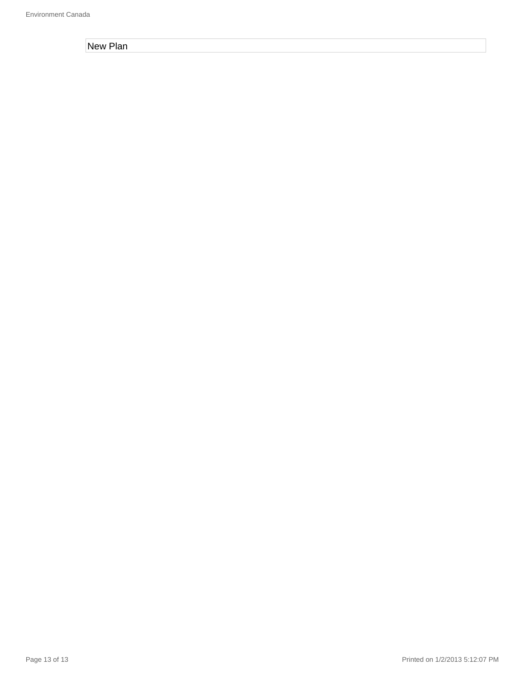New Plan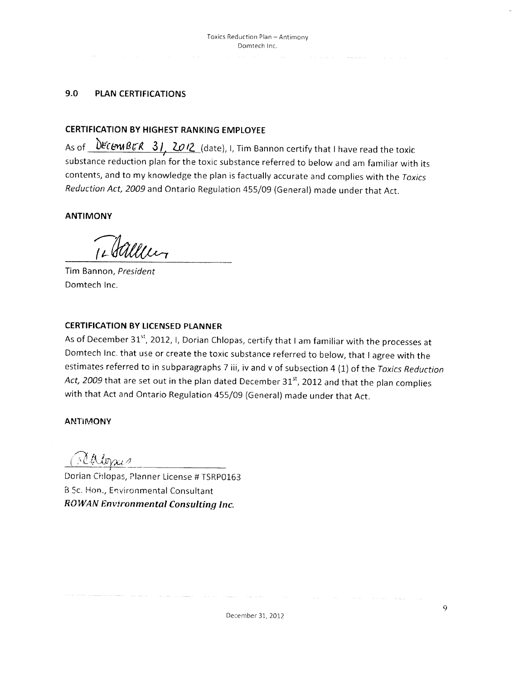#### 9.0 **PLAN CERTIFICATIONS**

### **CERTIFICATION BY HIGHEST RANKING EMPLOYEE**

As of *DECEMBER* 31, 2012 (date), I, Tim Bannon certify that I have read the toxic substance reduction plan for the toxic substance referred to below and am familiar with its contents, and to my knowledge the plan is factually accurate and complies with the Toxics Reduction Act, 2009 and Ontario Regulation 455/09 (General) made under that Act.

**ANTIMONY** 

Tim Bannon, President Domtech Inc.

### **CERTIFICATION BY LICENSED PLANNER**

As of December 31<sup>st</sup>, 2012, I, Dorian Chlopas, certify that I am familiar with the processes at Domtech Inc. that use or create the toxic substance referred to below, that I agree with the estimates referred to in subparagraphs 7 iii, iv and v of subsection 4 (1) of the Toxics Reduction Act, 2009 that are set out in the plan dated December 31st, 2012 and that the plan complies with that Act and Ontario Regulation 455/09 (General) made under that Act.

#### **ANTIMONY**

Maloris

Dorian Chlopas, Planner License # TSRP0163 B.Sc. Hon., Environmental Consultant **ROWAN Environmental Consulting Inc.**